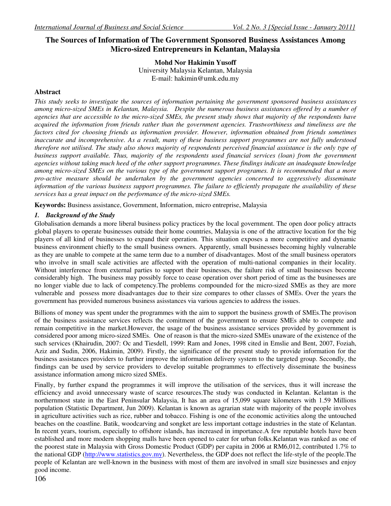# **The Sources of Information of The Government Sponsored Business Assistances Among Micro-sized Entrepreneurs in Kelantan, Malaysia**

**Mohd Nor Hakimin Yusoff**  University Malaysia Kelantan, Malaysia E-mail: hakimin@umk.edu.my

# **Abstract**

*This study seeks to investigate the sources of information pertaining the government sponsored business assistances among micro-sized SMEs in Kelantan, Malaysia. Despite the numerous business assistances offered by a number of agencies that are accessible to the micro-sized SMEs, the present study shows that majority of the respondents have acquired the information from friends rather than the government agencies. Trustworthiness and timeliness are the factors cited for choosing friends as information provider. However, information obtained from friends sometimes inaccurate and incomprehensive. As a result, many of these business support programmes are not fully understood therefore not utilised. The study also shows majority of respondents perceived financial assistance is the only type of business support available. Thus, majority of the respondents used financial services (loan) from the government agencies without taking much heed of the other support programmes. These findings indicate an inadequate knowledge among micro-sized SMEs on the various type of the government support programes. It is recommended that a more pro-active measure should be undertaken by the government agencies concerned to aggressively disseminate information of the various business support programmes. The failure to efficiently propagate the availability of these services has a great impact on the performance of the micro-sized SMEs.* 

**Keywords:** Business assistance, Government, Information, micro entreprise, Malaysia

# *1. Background of the Study*

Globalisation demands a more liberal business policy practices by the local government. The open door policy attracts global players to operate businesses outside their home countries, Malaysia is one of the attractive location for the big players of all kind of businesses to expand their operation. This situation exposes a more competitive and dynamic business environment chiefly to the small business owners. Apparently, small businesses becoming highly vulnerable as they are unable to compete at the same term due to a number of disadvantages. Most of the small business operators who involve in small scale activities are affected with the operation of multi-national companies in their locality. Without interference from external parties to support their businesses, the failure risk of small businesses become considerably high. The business may possibly force to cease operation over short period of time as the businesses are no longer viable due to lack of competency.The problems compounded for the micro-sized SMEs as they are more vulnerable and possess more disadvantages due to their size compares to other classes of SMEs. Over the years the government has provided numerous business asisstances via various agencies to address the issues.

Billions of money was spent under the programmes with the aim to support the business growth of SMEs.The provison of the business assistance services reflects the comitment of the government to ensure SMEs able to compete and remain competitive in the market.However, the usage of the business assistance services provided by government is considered poor among micro-sized SMEs. One of reason is that the micro-sized SMEs unaware of the existence of the such services (Khairudin, 2007: Oc and Tiesdell, 1999: Ram and Jones, 1998 cited in Emslie and Bent, 2007, Foziah, Aziz and Sudin, 2006, Hakimin, 2009). Firstly, the significance of the present study to provide information for the business assistances providers to further improve the information delivery system to the targeted group. Secondly, the findings can be used by service providers to develop suitable programmes to effectively disseminate the business assistance information among micro sized SMEs.

Finally, by further expand the programmes it will improve the utilisation of the services, thus it will increase the efficiency and avoid unnecessary waste of scarce resources.The study was conducted in Kelantan. Kelantan is the northernmost state in the East Peninsular Malaysia, It has an area of 15,099 square kilometers with 1.59 Millions population (Statistic Department, Jun 2009). Kelantan is known as agrarian state with majority of the people involves in agriculture activities such as rice, rubber and tobacco. Fishing is one of the economic activities along the untouched beaches on the coastline. Batik, woodcarving and songket are less important cottage industries in the state of Kelantan. In recent years, tourism, especially to offshore islands, has increased in importance.A few reputable hotels have been established and more modern shopping malls have been opened to cater for urban folks.Kelantan was ranked as one of the poorest state in Malaysia with Gross Domestic Product (GDP) per capita in 2006 at RM6,012, contributed 1.7% to the national GDP (http://www.statistics.gov.my). Nevertheless, the GDP does not reflect the life-style of the people.The people of Kelantan are well-known in the business with most of them are involved in small size businesses and enjoy good income.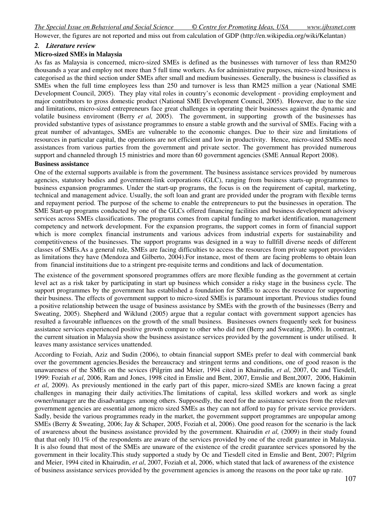However, the figures are not reported and miss out from calculation of GDP (http://en.wikipedia.org/wiki/Kelantan)

## *2. Literature review*

### **Micro-sized SMEs in Malaysia**

As fas as Malaysia is concerned, micro-sized SMEs is defined as the businesses with turnover of less than RM250 thousands a year and employ not more than 5 full time workers. As for administrative purposes, micro-sized business is categorised as the third section under SMEs after small and medium businesses. Generally, the business is classified as SMEs when the full time employees less than 250 and turnover is less than RM25 million a year (National SME Development Council, 2005). They play vital roles in country's economic development - providing employment and major contributors to gross domestic product (National SME Development Council, 2005). However, due to the size and limitations, micro-sized entrepreneurs face great challenges in operating their businesses against the dynamic and volatile business enviroment (Berry *et al,* 2005). The government, in supporting growth of the businesses has provided substantive types of asisstance programmes to ensure a stable growth and the survival of SMEs. Facing with a great number of advantages, SMEs are vulnerable to the economic changes. Due to their size and limitations of resources in particular capital, the operations are not efficient and low in productivity. Hence, micro-sized SMEs need assistances from various parties from the government and private sector. The government has provided numerous support and channeled through 15 ministries and more than 60 government agencies (SME Annual Report 2008).

#### **Business assistance**

One of the external supports available is from the government. The business assistance services provided by numerous agencies, statutory bodies and government-link corporations (GLC), ranging from business starts-up programmes to business expansion programmes. Under the start-up programs, the focus is on the requirement of capital, marketing, technical and management advice. Usually, the soft loan and grant are provided under the program with flexible terms and repayment period. The purpose of the scheme to enable the entrepreneurs to put the businesses in operation. The SME Start-up programs conducted by one of the GLCs offered financing facilities and business development advisory services across SMEs classifications. The programs comes from capital funding to market identification, management competency and network development. For the expansion programs, the support comes in form of financial support which is more complex financial instruments and various advices from industrial experts for sustainability and competitiveness of the businesses. The support programs was designed in a way to fullfill diverse needs of different classes of SMEs.As a general rule, SMEs are facing difficulties to access the resources from private support providers as limitations they have (Mendoza and Gilberto, 2004).For instance, most of them are facing problems to obtain loan from financial instituitions due to a stringent pre-requisite terms and conditions and lack of documentation.

The existence of the government sponsored programmes offers are more flexible funding as the government at certain level act as a risk taker by participating in start up business which consider a risky stage in the business cycle. The support programmes by the government has established a foundation for SMEs to access the resource for supporting their business. The effects of government support to micro-sized SMEs is paramount important. Previous studies found a positive relationship between the usage of business assistance by SMEs with the growth of the businesses (Berry and Sweating, 2005). Shepherd and Wiklund (2005) argue that a regular contact with government support agencies has resulted a favourable influences on the growth of the small business. Businesses owners frequently seek for business assistance services experienced positive growth compare to other who did not (Berry and Sweating, 2006). In contrast, the current situation in Malaysia show the business assistance services provided by the government is under utilised. It leaves many assistance services unattended.

According to Foziah, Aziz and Sudin (2006), to obtain financial support SMEs prefer to deal with commercial bank over the government agencies.Besides the bereaucracy and stringent terms and conditions, one of good reason is the unawareness of the SMEs on the sevices (Pilgrim and Meier, 1994 cited in Khairudin, *et al*, 2007, Oc and Tiesdell, 1999: Foziah *et al*, 2006, Ram and Jones, 1998 cited in Emslie and Bent, 2007, Emslie and Bent,2007, 2006, Hakimin *et al*, 2009). As previously mentioned in the early part of this paper, micro-sized SMEs are known facing a great challenges in managing their daily activities.The limitations of capital, less skilled workers and work as single owner/manager are the disadvantages among others. Supposedly, the need for the assistance services from the relevant government agencies are essential among micro sized SMEs as they can not afford to pay for private service providers. Sadly, beside the various programmes ready in the market, the government support programmes are unpopular among SMEs (Berry & Sweating, 2006; Jay & Schaper, 2005, Foziah et al, 2006). One good reason for the scenario is the lack of awareness about the business assistance provided by the government. Khairudin *et al,* (2009) in their study found that that only 10.1% of the respondents are aware of the services provided by one of the credit guarantee in Malaysia. It is also found that most of the SMEs are unaware of the existence of the credit guarantee services sponsored by the government in their locality.This study supported a study by Oc and Tiesdell cited in Emslie and Bent, 2007; Pilgrim and Meier, 1994 cited in Khairudin, *et al*, 2007, Foziah et al, 2006, which stated that lack of awareness of the existence of business assistance services provided by the government agencies is among the reasons on the poor take up rate.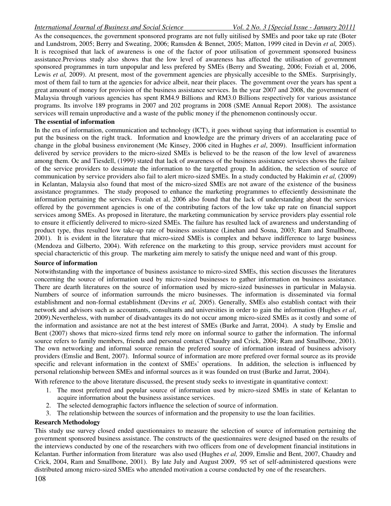As the consequences, the government sponsored programs are not fully uitilised by SMEs and poor take up rate (Boter and Lundstrom, 2005; Berry and Sweating, 2006; Ramsden & Bennet, 2005; Matton, 1999 cited in Devin *et al,* 2005). It is recognised that lack of awareness is one of the factor of poor utilisation of government sponsored business assistance.Previous study also shows that the low level of awareness has affected the utilisation of government sponsored programmes in turn unpopular and less prefered by SMEs (Berry and Sweating, 2006; Foziah et al, 2006, Lewis *et al.* 2009). At present, most of the government agencies are physically accesible to the SMEs. Surprisingly, most of them fail to turn at the agencies for advice albeit, near their places. The government over the years has spent a great amount of money for provision of the business assistance services. In the year 2007 and 2008, the government of Malaysia through various agencies has spent RM4.9 Billions and RM3.0 Billions respectively for various assistance programs. Its involve 189 programs in 2007 and 202 programs in 2008 (SME Annual Report 2008). The assistance services will remain unproductive and a waste of the public money if the phenomenon continously occur.

#### **The essential of information**

In the era of information, communication and technology (ICT), it goes without saying that information is essential to put the business on the right track. Information and knowledge are the primary drivers of an accelarating pace of change in the global business environement (Mc Kinsey, 2006 cited in Hughes *et al*, 2009). Insufficient information delivered by service providers to the micro-sized SMEs is believed to be the reason of the low level of awareness among them. Oc and Tiesdell, (1999) stated that lack of awareness of the business assistance services shows the failure of the service providers to dessimate the information to the targetted group. In addition, the selection of source of communication by service providers also fail to alert micro-sized SMEs. In a study conducted by Hakimin *et al,* (2009) in Kelantan, Malaysia also found that most of the micro-sized SMEs are not aware of the existence of the business assistance programmes. The study proposed to enhance the marketing programmes to effeciently dessisminate the information pertaining the services. Foziah et al, 2006 also found that the lack of understanding about the services offered by the government agencies is one of the contributing factors of the low take up rate on financial support services among SMEs. As proposed in literature, the marketing communication by service providers play essential role to ensure it efficiently delivered to micro-sized SMEs. The failure has resulted lack of awareness and understanding of product type, thus resulted low take-up rate of business assistance (Linehan and Sosna, 2003; Ram and Smallbone, 2001). It is evident in the literature that micro-sized SMEs is complex and behave indifference to large business (Mendoza and Gilberto, 2004). With reference on the marketing to this group, service providers must account for special characterictic of this group. The marketing aim merely to satisfy the unique need and want of this group.

## **Source of information**

Notwithstanding with the importance of business assistance to micro-sized SMEs, this section discusses the literatures concerning the source of information used by micro-sized businesses to gather information on business assistance. There are dearth literatures on the source of information used by micro-sized businesses in particular in Malaysia. Numbers of source of information surrounds the micro businesses. The information is disseminated via formal establishment and non-formal establishment (Devins *et al,* 2005). Generally, SMEs also establish contact with their network and advisors such as accountants, consultants and universities in order to gain the information (Hughes *et al*, 2009).Nevertheless, with number of disadvantages its do not occur among micro-sized SMEs as it costly and some of the information and assistance are not at the best interest of SMEs (Burke and Jarrat, 2004). A study by Emslie and Bent (2007) shows that micro-sized firms tend rely more on informal source to gather the information. The informal source refers to family members, friends and personal contact (Chaudry and Crick, 2004; Ram and Smallbone, 2001). The own networking and informal source remain the prefered source of information instead of business advisory providers (Emslie and Bent, 2007). Informal source of information are more prefered over formal source as its provide specific and relevant information in the context of SMEs' operations. In addition, the selection is influenced by personal relationship between SMEs and informal sources as it was founded on trust (Burke and Jarrat, 2004).

With reference to the above literature discussed, the present study seeks to investigate in quantitative context:

- 1. The most preferred and popular source of information used by micro-sized SMEs in state of Kelantan to acquire information about the business assistance services.
- 2. The selected demographic factors influence the selection of source of information.
- 3. The relationship between the sources of information and the propensity to use the loan facilities.

#### **Research Methodology**

This study use survey closed ended questionnaires to measure the selection of source of information pertaining the government sponsored business assistance. The constructs of the questionnaires were designed based on the results of the interviews conducted by one of the researchers with two officers from one of development financial institutions in Kelantan. Further information from literature was also used (Hughes *et al,* 2009, Emslie and Bent, 2007, Chaudry and Crick, 2004, Ram and Smallbone, 2001). By late July and August 2009, 95 set of self-administered questions were distributed among micro-sized SMEs who attended motivation a course conducted by one of the researchers.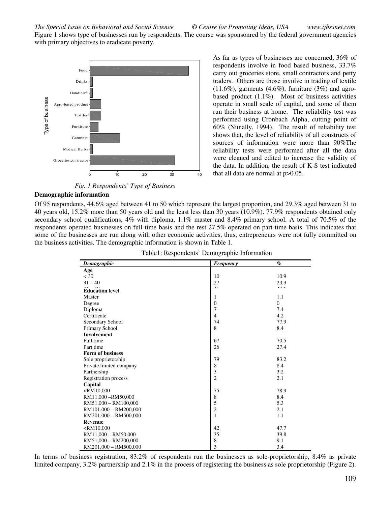Figure 1 shows type of businesses run by respondents. The course was sponsonred by the federal government agencies with primary objectives to eradicate poverty.

> As far as types of businesses are concerned, 36% of respondents involve in food based business, 33.7% carry out groceries store, small contractors and petty traders. Others are those involve in trading of textile  $(11.6\%)$ , garments  $(4.6\%)$ , furniture  $(3\%)$  and agrobased product (1.1%). Most of business activities operate in small scale of capital, and some of them run their business at home. The reliability test was performed using Cronbach Alpha, cutting point of 60% (Nunally, 1994). The result of reliability test shows that, the level of reliability of all constructs of sources of information were more than 90%The reliability tests were performed after all the data were cleaned and edited to increase the validity of the data. In addition, the result of K-S test indicated



 *Fig. 1 Respondents' Type of Business* 

#### **Demographic information**

| Type of business<br>Agro-based product -<br>Textiles .<br>Furniture<br>Garments ·<br>Medical Herbs .<br>Groceries, contractor ·<br>10<br>20<br>30<br>0                                                                                                                                                                                                                                                                                                                                                                                                                | 40                                           | $\alpha$ product $(1.1/v)$ . Most of business activities<br>operate in small scale of capital, and some of them<br>run their business at home. The reliability test was<br>performed using Cronbach Alpha, cutting point of<br>60% (Nunally, 1994). The result of reliability test<br>shows that, the level of reliability of all constructs of<br>sources of information were more than 90% The<br>reliability tests were performed after all the data<br>were cleaned and edited to increase the validity of<br>the data. In addition, the result of K-S test indicated<br>that all data are normal at $p > 0.05$ . |  |
|-----------------------------------------------------------------------------------------------------------------------------------------------------------------------------------------------------------------------------------------------------------------------------------------------------------------------------------------------------------------------------------------------------------------------------------------------------------------------------------------------------------------------------------------------------------------------|----------------------------------------------|-----------------------------------------------------------------------------------------------------------------------------------------------------------------------------------------------------------------------------------------------------------------------------------------------------------------------------------------------------------------------------------------------------------------------------------------------------------------------------------------------------------------------------------------------------------------------------------------------------------------------|--|
| Fig. 1 Respondents' Type of Business                                                                                                                                                                                                                                                                                                                                                                                                                                                                                                                                  |                                              |                                                                                                                                                                                                                                                                                                                                                                                                                                                                                                                                                                                                                       |  |
| <b>Demographic information</b><br>Of 95 respondents, 44.6% aged between 41 to 50 which represent the largest proportion, and 29.3% aged between 31 to                                                                                                                                                                                                                                                                                                                                                                                                                 |                                              |                                                                                                                                                                                                                                                                                                                                                                                                                                                                                                                                                                                                                       |  |
| 40 years old, 15.2% more than 50 years old and the least less than 30 years (10.9%). 77.9% respondents obtained only<br>secondary school qualifications, 4% with diploma, 1.1% master and 8.4% primary school. A total of 70.5% of the<br>respondents operated businesses on full-time basis and the rest 27.5% operated on part-time basis. This indicates that<br>some of the businesses are run along with other economic activities, thus, entrepreneurs were not fully committed on<br>the business activities. The demographic information is shown in Table 1. | Table1: Respondents' Demographic Information |                                                                                                                                                                                                                                                                                                                                                                                                                                                                                                                                                                                                                       |  |
|                                                                                                                                                                                                                                                                                                                                                                                                                                                                                                                                                                       |                                              |                                                                                                                                                                                                                                                                                                                                                                                                                                                                                                                                                                                                                       |  |
| Demographic                                                                                                                                                                                                                                                                                                                                                                                                                                                                                                                                                           | <b>Frequency</b>                             | $\%$                                                                                                                                                                                                                                                                                                                                                                                                                                                                                                                                                                                                                  |  |
| Age                                                                                                                                                                                                                                                                                                                                                                                                                                                                                                                                                                   |                                              |                                                                                                                                                                                                                                                                                                                                                                                                                                                                                                                                                                                                                       |  |
| $<$ 30                                                                                                                                                                                                                                                                                                                                                                                                                                                                                                                                                                | 10                                           | 10.9                                                                                                                                                                                                                                                                                                                                                                                                                                                                                                                                                                                                                  |  |
| $31 - 40$                                                                                                                                                                                                                                                                                                                                                                                                                                                                                                                                                             | 27                                           | 29.3                                                                                                                                                                                                                                                                                                                                                                                                                                                                                                                                                                                                                  |  |
| <b>Education level</b>                                                                                                                                                                                                                                                                                                                                                                                                                                                                                                                                                | $\bar{a}$ .                                  | $\begin{array}{ccc} \bullet & \bullet & \bullet \end{array}$                                                                                                                                                                                                                                                                                                                                                                                                                                                                                                                                                          |  |
| Master                                                                                                                                                                                                                                                                                                                                                                                                                                                                                                                                                                | 1                                            | 1.1                                                                                                                                                                                                                                                                                                                                                                                                                                                                                                                                                                                                                   |  |
| Degree                                                                                                                                                                                                                                                                                                                                                                                                                                                                                                                                                                | $\mathbf{0}$                                 | $\overline{0}$                                                                                                                                                                                                                                                                                                                                                                                                                                                                                                                                                                                                        |  |
| Diploma                                                                                                                                                                                                                                                                                                                                                                                                                                                                                                                                                               | 7                                            | 7.4                                                                                                                                                                                                                                                                                                                                                                                                                                                                                                                                                                                                                   |  |
| Certificate                                                                                                                                                                                                                                                                                                                                                                                                                                                                                                                                                           | 4                                            | 4.2                                                                                                                                                                                                                                                                                                                                                                                                                                                                                                                                                                                                                   |  |
| Secondary School                                                                                                                                                                                                                                                                                                                                                                                                                                                                                                                                                      | 74                                           | 77.9                                                                                                                                                                                                                                                                                                                                                                                                                                                                                                                                                                                                                  |  |
| Primary School                                                                                                                                                                                                                                                                                                                                                                                                                                                                                                                                                        | 8                                            | 8.4                                                                                                                                                                                                                                                                                                                                                                                                                                                                                                                                                                                                                   |  |
| Involvement                                                                                                                                                                                                                                                                                                                                                                                                                                                                                                                                                           |                                              |                                                                                                                                                                                                                                                                                                                                                                                                                                                                                                                                                                                                                       |  |
| Full time                                                                                                                                                                                                                                                                                                                                                                                                                                                                                                                                                             | 67                                           | 70.5                                                                                                                                                                                                                                                                                                                                                                                                                                                                                                                                                                                                                  |  |
| Part time                                                                                                                                                                                                                                                                                                                                                                                                                                                                                                                                                             | 26                                           | 27.4                                                                                                                                                                                                                                                                                                                                                                                                                                                                                                                                                                                                                  |  |
| Form of business                                                                                                                                                                                                                                                                                                                                                                                                                                                                                                                                                      |                                              |                                                                                                                                                                                                                                                                                                                                                                                                                                                                                                                                                                                                                       |  |
| Sole proprietorship                                                                                                                                                                                                                                                                                                                                                                                                                                                                                                                                                   | 79                                           | 83.2                                                                                                                                                                                                                                                                                                                                                                                                                                                                                                                                                                                                                  |  |
| Private limited company                                                                                                                                                                                                                                                                                                                                                                                                                                                                                                                                               | 8                                            | 8.4                                                                                                                                                                                                                                                                                                                                                                                                                                                                                                                                                                                                                   |  |
| Partnership                                                                                                                                                                                                                                                                                                                                                                                                                                                                                                                                                           | 3                                            | 3.2                                                                                                                                                                                                                                                                                                                                                                                                                                                                                                                                                                                                                   |  |
| Registration process                                                                                                                                                                                                                                                                                                                                                                                                                                                                                                                                                  | $\overline{2}$                               | 2.1                                                                                                                                                                                                                                                                                                                                                                                                                                                                                                                                                                                                                   |  |
| Capital                                                                                                                                                                                                                                                                                                                                                                                                                                                                                                                                                               |                                              |                                                                                                                                                                                                                                                                                                                                                                                                                                                                                                                                                                                                                       |  |
| $<$ RM10,000                                                                                                                                                                                                                                                                                                                                                                                                                                                                                                                                                          | 75                                           | 78.9                                                                                                                                                                                                                                                                                                                                                                                                                                                                                                                                                                                                                  |  |
| RM11,000-RM50,000                                                                                                                                                                                                                                                                                                                                                                                                                                                                                                                                                     | 8                                            | 8.4                                                                                                                                                                                                                                                                                                                                                                                                                                                                                                                                                                                                                   |  |
| RM51,000 - RM100,000                                                                                                                                                                                                                                                                                                                                                                                                                                                                                                                                                  | 5                                            | 5.3                                                                                                                                                                                                                                                                                                                                                                                                                                                                                                                                                                                                                   |  |
| RM101,000 - RM200,000                                                                                                                                                                                                                                                                                                                                                                                                                                                                                                                                                 | $\sqrt{2}$                                   | 2.1                                                                                                                                                                                                                                                                                                                                                                                                                                                                                                                                                                                                                   |  |
| RM201,000 - RM500,000                                                                                                                                                                                                                                                                                                                                                                                                                                                                                                                                                 | $1\,$                                        | 1.1                                                                                                                                                                                                                                                                                                                                                                                                                                                                                                                                                                                                                   |  |
| Revenue                                                                                                                                                                                                                                                                                                                                                                                                                                                                                                                                                               |                                              |                                                                                                                                                                                                                                                                                                                                                                                                                                                                                                                                                                                                                       |  |
| $<$ RM10,000                                                                                                                                                                                                                                                                                                                                                                                                                                                                                                                                                          | 42                                           | 47.7                                                                                                                                                                                                                                                                                                                                                                                                                                                                                                                                                                                                                  |  |
| RM11,000 - RM50,000                                                                                                                                                                                                                                                                                                                                                                                                                                                                                                                                                   | 35                                           | 39.8                                                                                                                                                                                                                                                                                                                                                                                                                                                                                                                                                                                                                  |  |
| RM51,000 - RM200,000                                                                                                                                                                                                                                                                                                                                                                                                                                                                                                                                                  | 8                                            | 9.1                                                                                                                                                                                                                                                                                                                                                                                                                                                                                                                                                                                                                   |  |
| RM201,000 - RM500,000                                                                                                                                                                                                                                                                                                                                                                                                                                                                                                                                                 | 3                                            | 3.4                                                                                                                                                                                                                                                                                                                                                                                                                                                                                                                                                                                                                   |  |
|                                                                                                                                                                                                                                                                                                                                                                                                                                                                                                                                                                       |                                              |                                                                                                                                                                                                                                                                                                                                                                                                                                                                                                                                                                                                                       |  |
| In terms of business registration, $83.2\%$ of respondents run the businesses as sole-proprietorship, $8.4\%$ as private                                                                                                                                                                                                                                                                                                                                                                                                                                              |                                              |                                                                                                                                                                                                                                                                                                                                                                                                                                                                                                                                                                                                                       |  |
| limited company, $3.2\%$ partnership and $2.1\%$ in the process of registering the business as sole proprietorship (Figure 2).                                                                                                                                                                                                                                                                                                                                                                                                                                        |                                              |                                                                                                                                                                                                                                                                                                                                                                                                                                                                                                                                                                                                                       |  |

Table1: Respondents' Demographic Information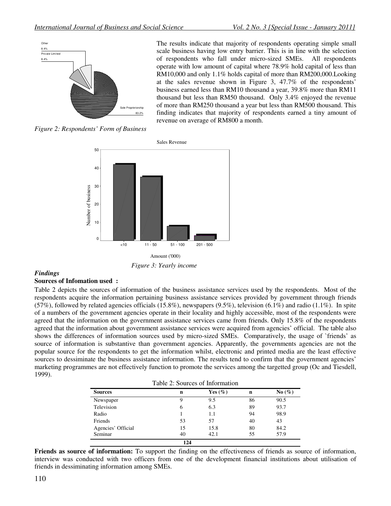

The results indicate that majority of respondents operating simple small scale business having low entry barrier. This is in line with the selection of respondents who fall under micro-sized SMEs. All respondents operate with low amount of capital where 78.9% hold capital of less than RM10,000 and only 1.1% holds capital of more than RM200,000.Looking at the sales revenue shown in Figure 3, 47.7% of the respondents' business earned less than RM10 thousand a year, 39.8% more than RM11 thousand but less than RM50 thousand. Only 3.4% enjoyed the revenue of more than RM250 thousand a year but less than RM500 thousand. This finding indicates that majority of respondents earned a tiny amount of revenue on average of RM800 a month.

*Figure 2: Respondents' Form of Business* 



 *Figure 3: Yearly income* 

#### *Findings*

#### **Sources of Infomation used :**

Table 2 depicts the sources of information of the business assistance services used by the respondents. Most of the respondents acquire the information pertaining business assistance services provided by government through friends  $(57%)$ , followed by related agencies officials  $(15.8%)$ , newspapers  $(9.5%)$ , television  $(6.1%)$  and radio  $(1.1%)$ . In spite of a numbers of the government agencies operate in their locality and highly accessible, most of the respondents were agreed that the information on the government assistance services came from friends. Only 15.8% of the respondents agreed that the information about government assistance services were acquired from agencies' official. The table also shows the differences of information sources used by micro-sized SMEs. Comparatively, the usage of `friends' as source of information is substantive than government agencies. Apparently, the governments agencies are not the popular source for the respondents to get the information whilst, electronic and printed media are the least effective sources to dessiminate the business assistance information. The results tend to confirm that the government agencies' marketing programmes are not effectively function to promote the services among the targetted group (Oc and Tiesdell, 1999).

| Table 2: Sources of Information |
|---------------------------------|
|---------------------------------|

| <b>Sources</b>     | n   | Yes $(\%)$ | n  | No $(\%)$ |
|--------------------|-----|------------|----|-----------|
| Newspaper          | 9   | 9.5        | 86 | 90.5      |
| Television         | 6   | 6.3        | 89 | 93.7      |
| Radio              |     | 1.1        | 94 | 98.9      |
| Friends            | 53  | 57         | 40 | 43        |
| Agencies' Official | 15  | 15.8       | 80 | 84.2      |
| Seminar            | 40  | 42.1       | 55 | 57.9      |
|                    | 124 |            |    |           |

**Friends as source of information:** To support the finding on the effectiveness of friends as source of information, interview was conducted with two officers from one of the development financial institutions about utilisation of friends in dessiminating information among SMEs.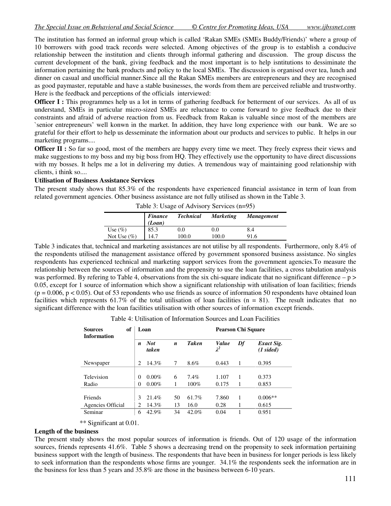The institution has formed an informal group which is called 'Rakan SMEs (SMEs Buddy/Friends)' where a group of 10 borrowers with good track records were selected. Among objectives of the group is to establish a conducive relationship between the institution and clients through informal gathering and discussion. The group discuss the current development of the bank, giving feedback and the most important is to help isntitutions to dessiminate the information pertaining the bank products and policy to the local SMEs. The discussion is organised over tea, lunch and dinner on casual and unofficial manner.Since all the Rakan SMEs members are entrepreneurs and they are recognised as good paymaster, reputable and have a stable businesses, the words from them are perceived reliable and trustworthy. Here is the feedback and perceptions of the officials interviewed:

**Officer I :** This programmes help us a lot in terms of gathering feedback for betterment of our services. As all of us understand, SMEs in particular micro-sized SMEs are reluctance to come forward to give feedback due to their constraints and afraid of adverse reaction from us. Feedback from Rakan is valuable since most of the members are `senior entrepreneurs' well konwn in the market. In addition, they have long experience with our bank. We are so grateful for their effort to help us desseminate the information about our products and services to public. It helps in our marketing programs....

**Officer II :** So far so good, most of the members are happy every time we meet. They freely express their views and make suggestions to my boss and my big boss from HQ. They effectively use the opportunity to have direct discussions with my bosses. It helps me a lot in delivering my duties. A tremendous way of maintaining good relationship with clients, i think so....

#### **Utilisation of Business Assistance Services**

The present study shows that 85.3% of the respondents have experienced financial assistance in term of loan from related government agencies. Other business assistance are not fully utilised as shown in the Table 3.

|                | <i>Finance</i><br>(Loan) | <b>Technical</b> | <b>Marketing</b> | <b>Management</b> |  |  |  |
|----------------|--------------------------|------------------|------------------|-------------------|--|--|--|
| Use $(\%)$     | 85.3                     | $0.0\,$          | 0.0              | 8.4               |  |  |  |
| Not Use $(\%)$ | 14.7                     | 100.0            | 100.0            | 91.6              |  |  |  |

Table 3: Usage of Advisory Services (n=95)

Table 3 indicates that, technical and marketing assistances are not utilise by all respondents. Furthermore, only 8.4% of the respondents utilised the management assistance offered by government sponsored business assistance. No singles respondents has experienced technical and marketing support services from the government agencies.To measure the relationship between the sources of information and the propensity to use the loan facilities, a cross tabulation analysis was performed. By refering to Table 4, observations from the six chi-square indicate that no significant difference  $-p$ 0.05, except for 1 source of information which show a significant relationship with utilisation of loan facilities; friends  $(p = 0.006, p < 0.05)$ . Out of 53 repondents who use friends as source of information 50 respondents have obtained loan facilities which represents 61.7% of the total utilisation of loan facilities (n = 81). The result indicates that no significant difference with the loan facilities utilisation with other sources of information except friends.

Table 4: Utilisation of Information Sources and Loan Facilities

| of<br><b>Sources</b><br><b>Information</b> | Loan             |                     |                  |              |                      | <b>Pearson Chi Square</b> |                              |  |  |
|--------------------------------------------|------------------|---------------------|------------------|--------------|----------------------|---------------------------|------------------------------|--|--|
|                                            | $\boldsymbol{n}$ | <b>Not</b><br>taken | $\boldsymbol{n}$ | <b>Taken</b> | Value<br>$\lambda^2$ | Df                        | Exact Sig.<br>$(1 \, sided)$ |  |  |
| Newspaper                                  | 2                | 14.3%               | 7                | 8.6%         | 0.443                | 1                         | 0.395                        |  |  |
|                                            |                  |                     |                  |              |                      |                           |                              |  |  |
| Television                                 | $\Omega$         | $0.00\%$            | 6                | 7.4%         | 1.107                | 1                         | 0.373                        |  |  |
| Radio                                      | 0                | $0.00\%$            | 1                | 100%         | 0.175                | 1                         | 0.853                        |  |  |
|                                            |                  |                     |                  |              |                      |                           |                              |  |  |
| Friends                                    | 3                | 21.4%               | 50               | 61.7%        | 7.860                | 1                         | $0.006**$                    |  |  |
| Agencies Official                          | 2                | 14.3%               | 13               | 16.0         | 0.28                 | 1                         | 0.615                        |  |  |
| Seminar                                    | 6                | 42.9%               | 34               | 42.0%        | 0.04                 |                           | 0.951                        |  |  |

\*\* Significant at 0.01.

#### **Length of the business**

The present study shows the most popular sources of information is friends. Out of 120 usage of the information sources, friends represents 41.6%. Table 5 shows a decreasing trend on the propensity to seek information pertaining business support with the length of business. The respondents that have been in business for longer periods is less likely to seek information than the respondents whose firms are younger. 34.1% the respondents seek the information are in the business for less than 5 years and 35.8% are those in the business between 6-10 years.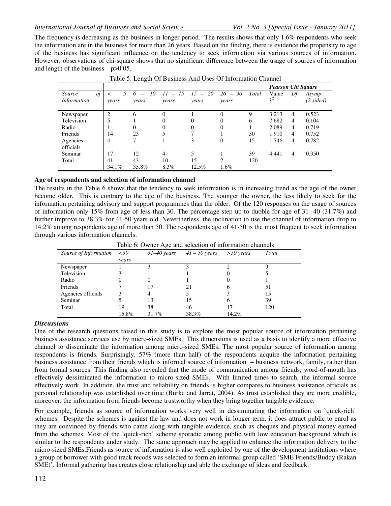The frequency is decreasing as the business in longer period. The results shows that only 1.6% respondents who seek the information are in the business for more than 26 years. Based on the finding, there is evidence the propensity to age of the business has significant influence on the tendency to seek information via various sources of information. However, observations of chi-square shows that no significant difference between the usage of sources of information and length of the business  $-p>0.05$ .

|                    |                |                    |                |              | <b>Pearson Chi Square</b> |       |                      |                |                |
|--------------------|----------------|--------------------|----------------|--------------|---------------------------|-------|----------------------|----------------|----------------|
| $\iota$<br>Source  |                | 10<br><sup>6</sup> | $-15$<br>11    | $15 -$<br>20 | $26 - 30$                 | Total | Value<br>$\lambda^2$ | Df             | Asymp          |
| <i>Information</i> | years          | years              | vears          | years        | years                     |       |                      |                | $(2 \, sided)$ |
| Newspaper          | $\overline{c}$ | 6                  | $\Omega$       |              | $\theta$                  | 9     | 3.213                | $\overline{4}$ | 0.523          |
| Television         |                |                    | $\Omega$       | $\Omega$     | $\theta$                  | 6     | 7.682                | $\overline{4}$ | 0.104          |
| Radio              |                | $\Omega$           | $\theta$       | 0            | $\theta$                  |       | 2.089                | $\overline{4}$ | 0.719          |
| Friends            | 14             | 23                 | 5              | 7            |                           | 50    | 1.910                | $\overline{4}$ | 0.752          |
| Agencies           | 4              | $\mathbf{r}$       |                | 3            | $\overline{0}$            | 15    | 1.746                | 4              | 0.782          |
| officials          |                |                    |                |              |                           |       |                      |                |                |
| Seminar            | 17             | 12                 | $\overline{4}$ | 5            |                           | 39    | 4.441                | 4              | 0.350          |
| Total              | 41             | 43                 | 10             | 15           | $\overline{c}$            | 120   |                      |                |                |
|                    | 34.1%          | 35.8%              | 8.3%           | 12.5%        | 1.6%                      |       |                      |                |                |

Table 5: Length Of Business And Uses Of Information Channel

## **Age of respondents and selection of information channel**

The results in the Table 6 shows that the tendency to seek information is in increasing trend as the age of the owner become older. This is contrary to the age of the business. The younger the owner, the less likely to seek for the information pertaining advisory and support programmes than the older. Of the 120 responses on the usage of sources of information only 15% from age of less than 30. The percentage step up to duoble for age of 31- 40 (31.7%) and further improve to 38.3% for 41-50 years old. Nevertherless, the inclination to use the channel of information drop to 14.2% among respondents age of more than 50. The respondents age of 41-50 is the most frequent to seek information through various information channels.

Table 6: Owner Age and selection of information channels

|                       |       | ~               |                 |             |       |
|-----------------------|-------|-----------------|-----------------|-------------|-------|
| Source of Information | <30   | $31 - 40$ years | $41 - 50$ years | $>50$ years | Total |
|                       | vears |                 |                 |             |       |
| Newspaper             |       |                 |                 |             |       |
| Television            |       |                 |                 |             |       |
| Radio                 | O     |                 |                 | O           |       |
| Friends               |       |                 | 21              | O           | 51    |
| Agencies officials    |       |                 |                 |             | 15    |
| Seminar               |       | 13              | 15              | O           | 39    |
| Total                 | 19    | 38              | 46              |             | 120   |
|                       | 15.8% | 31.7%           | 38.3%           | 14.2%       |       |

## *Discussions*

One of the research questions raised in this study is to explore the most popular source of information pertaining business assistance services use by micro-sized SMEs. This dimensions is used as a basis to identify a more effective channel to disseminate the information among micro-sized SMEs. The most popular source of information among respondents is friends. Surprisingly, 57% (more than half) of the respondents acquire the information pertaining business assistance from their friends which is informal source of information – business network, family, rather than from formal sources. This finding also revealed that the mode of communication among friends; word-of-mouth has effectively dessiminated the information to micro-sized SMEs. With limited times to search, the informal source effectively work. In addition, the trust and reliability on friends is higher compares to business assistance officials as personal relationship was established over time (Burke and Jarrat, 2004). As trust established they are more credible, moreover, the information from friends become trustworthy when they bring together tangible evidence.

For example, friends as source of information works very well in dessiminating the information on `quick-rich' schemes. Despite the schemes is against the law and does not work in longer term, it does attract public to enrol as they are convinced by friends who came along with tangible evidence, such as cheques and physical money earned from the schemes. Most of the `quick-rich' scheme sporadic among public with low education background which is similar to the respondents under study. The same approach may be applied to enhance the information delivery to the micro-sized SMEs.Friends as source of information is also well exploited by one of the development institutions where a group of borrower with good track recods was selected to form an informal group called 'SME Friends/Buddy (Rakan SME)'. Informal gathering has creates close relationship and able the exchange of ideas and feedback.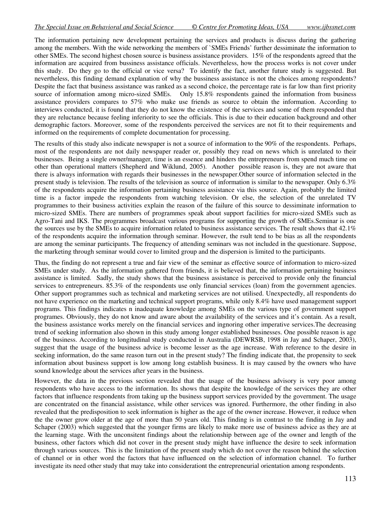The information pertaining new development pertaining the services and products is discuss during the gathering among the members. With the wide networking the members of `SMEs Friends' further dessiminate the information to other SMEs. The second highest chosen source is business assistance providers. 15% of the respondents agreed that the information are acquired from bussiness assistance officials. Nevertheless, how the process works is not cover under this study. Do they go to the official or vice versa? To identify the fact, another future study is suggested. But nevertheless, this finding demand explanation of why the bussiness assistance is not the choices among respondents? Despite the fact that business assistance was ranked as a second choice, the percentage rate is far low than first priority source of information among micro-sized SMEs. Only 15.8% respondents gained the information from business assistance providers compares to 57% who make use friends as source to obtain the information. According to interviews conducted, it is found that they do not know the existence of the services and some of them responded that they are reluctance because feeling inferiority to see the officials. This is due to their education background and other demographic factors. Moreover, some of the respondents perceived the services are not fit to their requirements and informed on the requirements of complete documentation for processing.

The results of this study also indicate newspaper is not a source of information to the 90% of the respondents. Perhaps, most of the respondents are not daily newspaper reader or, possibly they read on news which is unrelated to their businesses. Being a single owner/manager, time is an essence and hinders the entrepreneurs from spend much time on other than operational matters (Shepherd and Wiklund, 2005). Another possible reason is, they are not aware that there is always information with regards their businesses in the newspaper.Other source of information selected in the present study is television. The results of the television as source of information is similar to the newspaper. Only 6.3% of the respondents acquire the information pertaining business assistance via this source. Again, probably the limited time is a factor impede the respondents from watching television. Or else, the selection of the unrelated TV programmes to their business activities explain the reason of the failure of this source to dessiminate information to micro-sized SMEs. There are numbers of programmes speak about support facilities for micro-sized SMEs such as Agro-Tani and IKS. The programmes broadcast various programs for supporting the growth of SMEs.Seminar is one the sources use by the SMEs to acquire infornation related to business assistance services. The result shows that 42.1% of the respondents acquire the information through seminar. However, the rsult tend to be bias as all the respondents are among the seminar participants. The frequency of attending seminars was not included in the questionare. Suppose, the marketing through seminar would cover to limited group and the dispersion is limited to the participants.

Thus, the finding do not represent a true and fair view of the seminar as effective source of information to micro-sized SMEs under study. As the information gathered from friends, it is believed that, the information pertaining business assistance is limited. Sadly, the study shows that the business assistance is perceived to provide only the financial services to entrepreneurs. 85.3% of the respondents use only financial services (loan) from the government agencies. Other support programmes such as technical and marketing services are not utilised. Unexpectedly, all respondents do not have experience on the marketing and technical support programs, while only 8.4% have used management support programs. This findings indicates n inadequate knowledge among SMEs on the various type of government support programes. Obviously, they do not know and aware about the availability of the services and it's contain. As a result, the business assistance works merely on the financial services and ingnoring other imperative services.The decreasing trend of seeking information also shown in this study among longer established businesses. One possible reason is age of the business. According to longitudinal study conducted in Australia (DEWRSB, 1998 in Jay and Schaper, 2003), suggest that the usage of the business advice is become lesser as the age increase. With reference to the desire in seeking information, do the same reason turn out in the present study? The finding indicate that, the propensity to seek information about business support is low among long establish business. It is may caused by the owners who have sound knowledge about the services after years in the business.

However, the data in the previous section revealed that the usage of the business advisory is very poor among respondents who have access to the information. Its shows that despite the knowledge of the services they are other factors that influence respondents from taking up the business support services provided by the government. The usage are concentrated on the financial assistance, while other services was ignored. Furthermore, the other finding in also revealed that the predisposition to seek information is higher as the age of the owner increase. However, it reduce when the the owner grow older at the age of more than 50 years old. This finding is in contrast to the finding in Jay and Schaper (2003) which suggested that the younger firms are likely to make more use of business advice as they are at the learning stage. With the unconsitent findings about the relationship between age of the owner and length of the business, other factors which did not cover in the present study might have influence the desire to seek information through various sources. This is the limitation of the present study which do not cover the reason behind the selection of channel or in other word the factors that have influenced on the selection of information channel. To further investigate its need other study that may take into considerationt the entrepreneurial orientation among respondents.